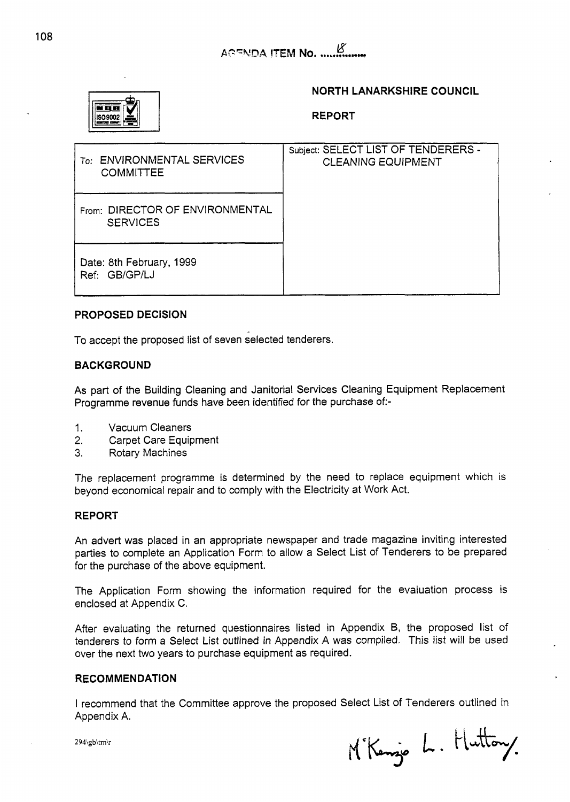

## **NORTH LANARKSHIRE COUNCIL**

**REPORT** 

| <b>ENVIRONMENTAL SERVICES</b><br>To: I<br><b>COMMITTEE</b> | Subject: SELECT LIST OF TENDERERS -<br><b>CLEANING EQUIPMENT</b> |
|------------------------------------------------------------|------------------------------------------------------------------|
| From: DIRECTOR OF ENVIRONMENTAL<br><b>SERVICES</b>         |                                                                  |
| Date: 8th February, 1999<br>Ref: GB/GP/LJ                  |                                                                  |

## **PROPOSED DECISION**

To accept the proposed list of seven selected tenderers.

## **BACKGROUND**

As part of the Building Cleaning and Janitorial Services Cleaning Equipment Replacement Programme revenue funds have been identified for the purchase of:-

- 1. Vacuum Cleaners
- **2.** Carpet Care Equipment
- 3. Rotary Machines

The replacement programme is determined by the need to replace equipment which is beyond economical repair and to comply with the Electricity at Work Act.

### **REPORT**

An advert was placed in an appropriate newspaper and trade magazine inviting interested parties to complete an Application Form to allow a Select List of Tenderers to be prepared for the purchase of the above equipment.

The Application Form showing the information required for the evaluation process is enclosed at Appendix C.

After evaluating the returned questionnaires listed in Appendix B, the proposed list of tenderers to form a Select List outlined in Appendix A was compiled. This list will be used over the next two years to purchase equipment as required.

### **RECOMMENDATION**

I recommend that the Committee approve the proposed Select List of Tenderers outlined in Appendix A.

M'Kenzie L. Huttony.

**2** 94\gb\tm\r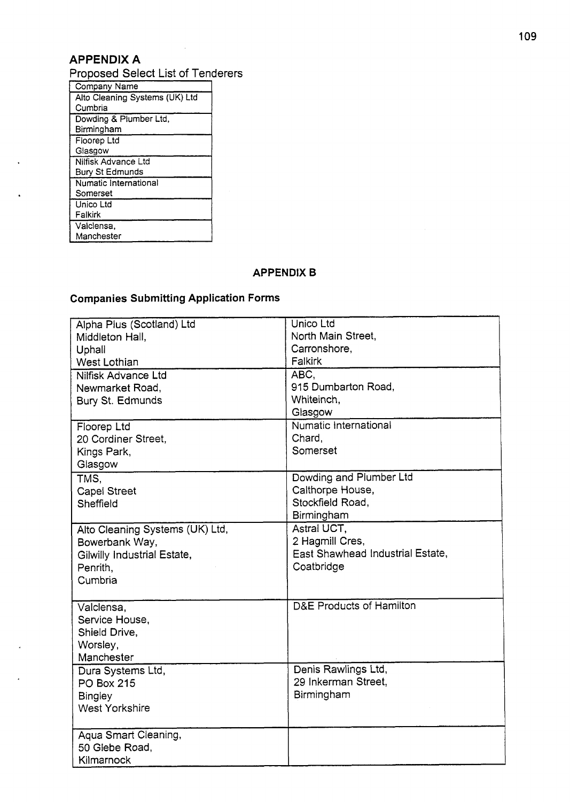# **APPENDIX A**

Proposed Select List of Tenderers

| Company Name                   |
|--------------------------------|
| Alto Cleaning Systems (UK) Ltd |
| Cumbria                        |
| Dowding & Plumber Ltd,         |
| Birmingham                     |
| Floorep Ltd                    |
| Glasgow                        |
| Nilfisk Advance Ltd            |
| Bury St Edmunds                |
| Numatic International          |
| Somerset                       |
| Unico Ltd                      |
| Falkirk                        |
| Valclensa,                     |
| Manchester                     |

# **APPENDIX B**

# **Companies Submitting Application Forms**

| Alpha Plus (Scotland) Ltd       | Unico Ltd                           |
|---------------------------------|-------------------------------------|
| Middleton Hall,                 | North Main Street,                  |
| Uphall                          | Carronshore,                        |
| West Lothian                    | Falkirk                             |
| Nilfisk Advance Ltd             | ABC,                                |
| Newmarket Road,                 | 915 Dumbarton Road,                 |
| Bury St. Edmunds                | Whiteinch,                          |
|                                 | Glasgow                             |
| Floorep Ltd                     | Numatic International               |
| 20 Cordiner Street,             | Chard,                              |
| Kings Park,                     | Somerset                            |
| Glasgow                         |                                     |
| TMS.                            | Dowding and Plumber Ltd             |
| <b>Capel Street</b>             | Calthorpe House,                    |
| Sheffield                       | Stockfield Road.                    |
|                                 | Birmingham                          |
| Alto Cleaning Systems (UK) Ltd, | Astral UCT,                         |
| Bowerbank Way,                  | 2 Hagmill Cres,                     |
| Gilwilly Industrial Estate,     | East Shawhead Industrial Estate,    |
| Penrith,                        | Coatbridge                          |
| Cumbria                         |                                     |
|                                 |                                     |
| Valclensa,                      | <b>D&amp;E Products of Hamilton</b> |
| Service House,                  |                                     |
| Shield Drive,                   |                                     |
| Worsley,                        |                                     |
| Manchester                      |                                     |
| Dura Systems Ltd,               | Denis Rawlings Ltd,                 |
| <b>PO Box 215</b>               | 29 Inkerman Street.                 |
| <b>Bingley</b>                  | Birmingham                          |
| <b>West Yorkshire</b>           |                                     |
|                                 |                                     |
| Aqua Smart Cleaning,            |                                     |
| 50 Glebe Road,                  |                                     |
| Kilmarnock                      |                                     |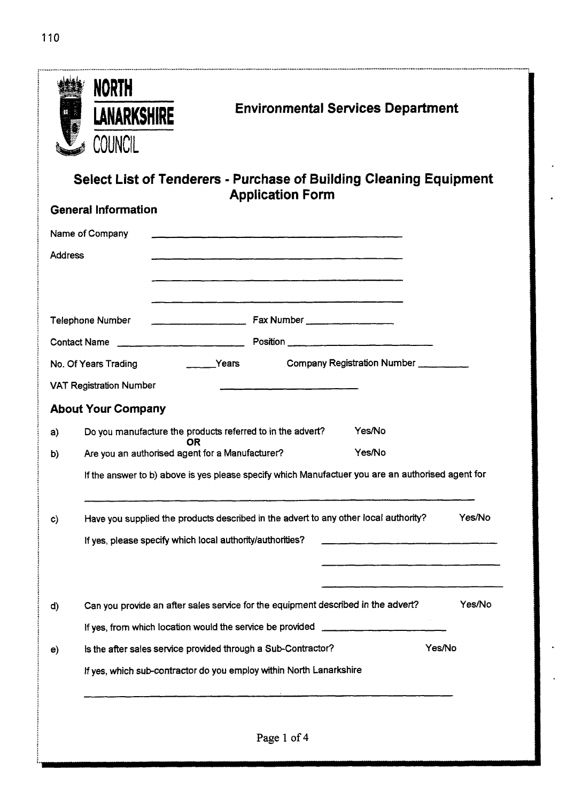110

|                | <b>NORTH</b><br><b>Environmental Services Department</b><br><b>LANARKSHIRE</b><br><b>COUNCIL</b>                                         |
|----------------|------------------------------------------------------------------------------------------------------------------------------------------|
|                | Select List of Tenderers - Purchase of Building Cleaning Equipment<br><b>Application Form</b>                                            |
|                | <b>General Information</b>                                                                                                               |
|                | Name of Company<br><u> 1980 - Jan Baratta, marekat da basar da basar da basa da basa da basa da basa da basa da basa da basa da basa</u> |
| <b>Address</b> |                                                                                                                                          |
|                |                                                                                                                                          |
|                | <b>Telephone Number</b>                                                                                                                  |
|                |                                                                                                                                          |
|                | <b>Example 2014</b> Years<br>Company Registration Number ___________<br>No. Of Years Trading                                             |
|                | <b>VAT Registration Number</b>                                                                                                           |
|                | <b>About Your Company</b>                                                                                                                |
| a)             | Yes/No<br>Do you manufacture the products referred to in the advert?<br>OR                                                               |
| b)             | Yes/No<br>Are you an authorised agent for a Manufacturer?                                                                                |
|                | If the answer to b) above is yes please specify which Manufactuer you are an authorised agent for                                        |
| $\mathbf{c}$   | Yes/No<br>Have you supplied the products described in the advert to any other local authority?                                           |
|                | If yes, please specify which local authority/authorities?                                                                                |
|                |                                                                                                                                          |
|                |                                                                                                                                          |
| d)             | Yes/No<br>Can you provide an after sales service for the equipment described in the advert?                                              |
|                | If yes, from which location would the service be provided ______________________                                                         |
| e)             | Yes/No<br>is the after sales service provided through a Sub-Contractor?                                                                  |
|                |                                                                                                                                          |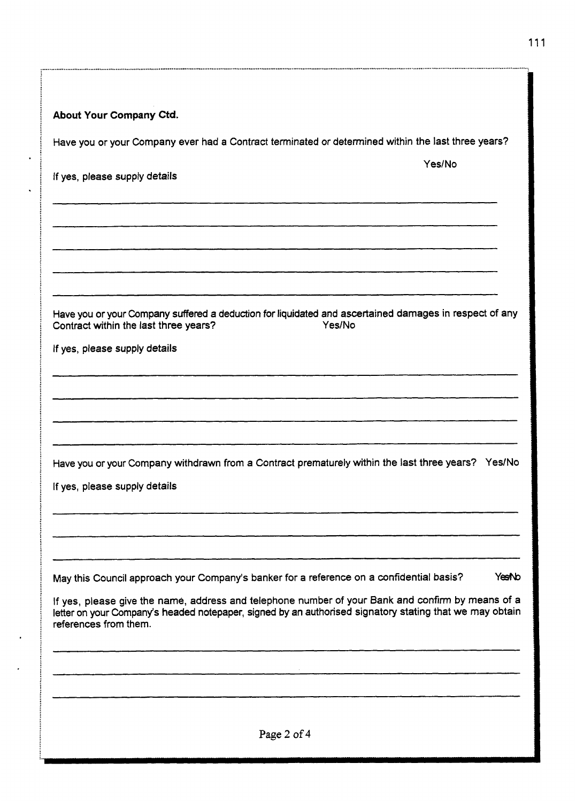| About Your Company Ctd.                                                                                                                                                                                                               |
|---------------------------------------------------------------------------------------------------------------------------------------------------------------------------------------------------------------------------------------|
| Have you or your Company ever had a Contract terminated or determined within the last three years?                                                                                                                                    |
| Yes/No<br>If yes, please supply details                                                                                                                                                                                               |
|                                                                                                                                                                                                                                       |
|                                                                                                                                                                                                                                       |
| Have you or your Company suffered a deduction for liquidated and ascertained damages in respect of any<br>Yes/No<br>Contract within the last three years?                                                                             |
| If yes, please supply details                                                                                                                                                                                                         |
|                                                                                                                                                                                                                                       |
|                                                                                                                                                                                                                                       |
| Have you or your Company withdrawn from a Contract prematurely within the last three years? Yes/No                                                                                                                                    |
| If yes, please supply details                                                                                                                                                                                                         |
|                                                                                                                                                                                                                                       |
| May this Council approach your Company's banker for a reference on a confidential basis?<br>YesNo                                                                                                                                     |
| If yes, please give the name, address and telephone number of your Bank and confirm by means of a<br>letter on your Company's headed notepaper, signed by an authorised signatory stating that we may obtain<br>references from them. |
|                                                                                                                                                                                                                                       |
|                                                                                                                                                                                                                                       |
| Page 2 of 4                                                                                                                                                                                                                           |

................................................................. . ................................................... ~ ......................................................... ~ .,.,...,.. \_.\_ ................................................................................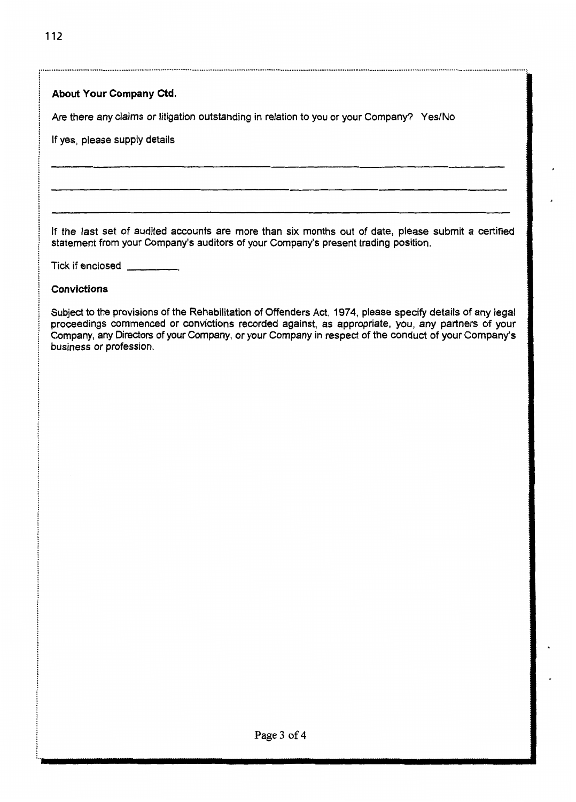| Are there any claims or litigation outstanding in relation to you or your Company? Yes/No<br>If yes, please supply details<br>If the last set of audited accounts are more than six months out of date, please submit a certified                                                                                                                 |
|---------------------------------------------------------------------------------------------------------------------------------------------------------------------------------------------------------------------------------------------------------------------------------------------------------------------------------------------------|
|                                                                                                                                                                                                                                                                                                                                                   |
|                                                                                                                                                                                                                                                                                                                                                   |
|                                                                                                                                                                                                                                                                                                                                                   |
| statement from your Company's auditors of your Company's present trading position.                                                                                                                                                                                                                                                                |
| Tick if enclosed                                                                                                                                                                                                                                                                                                                                  |
| <b>Convictions</b>                                                                                                                                                                                                                                                                                                                                |
| Subject to the provisions of the Rehabilitation of Offenders Act, 1974, please specify details of any legal<br>proceedings commenced or convictions recorded against, as appropriate, you, any partners of your<br>Company, any Directors of your Company, or your Company in respect of the conduct of your Company's<br>business or profession. |
|                                                                                                                                                                                                                                                                                                                                                   |
|                                                                                                                                                                                                                                                                                                                                                   |